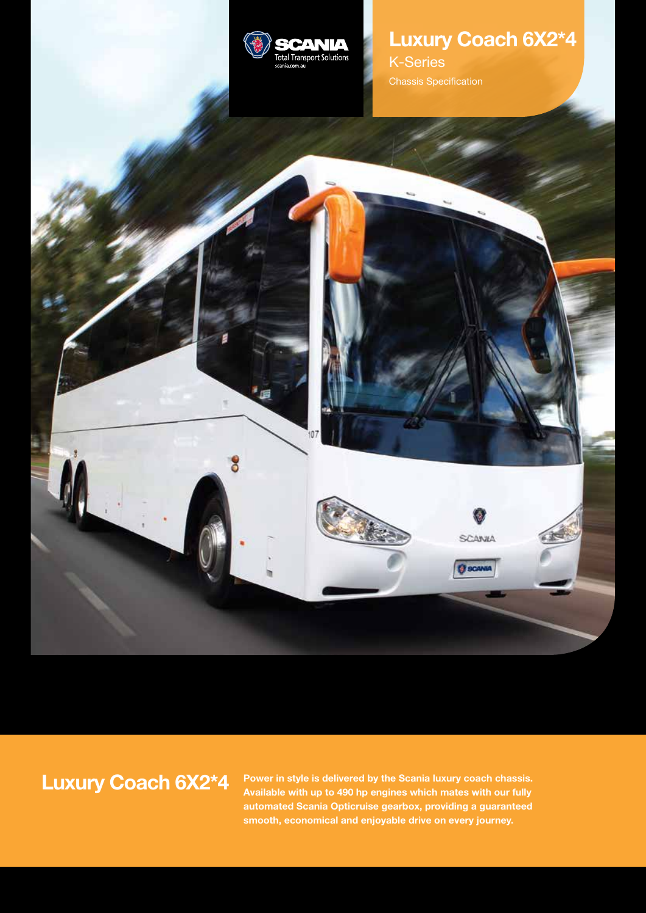

8

# **Luxury Coach 6X2\*4**

SCANIA

**O** scave

K-Series Chassis Specification

# **Luxury Coach 6X2\*4**

**Power in style is delivered by the Scania luxury coach chassis. Available with up to 490 hp engines which mates with our fully automated Scania Opticruise gearbox, providing a guaranteed smooth, economical and enjoyable drive on every journey.**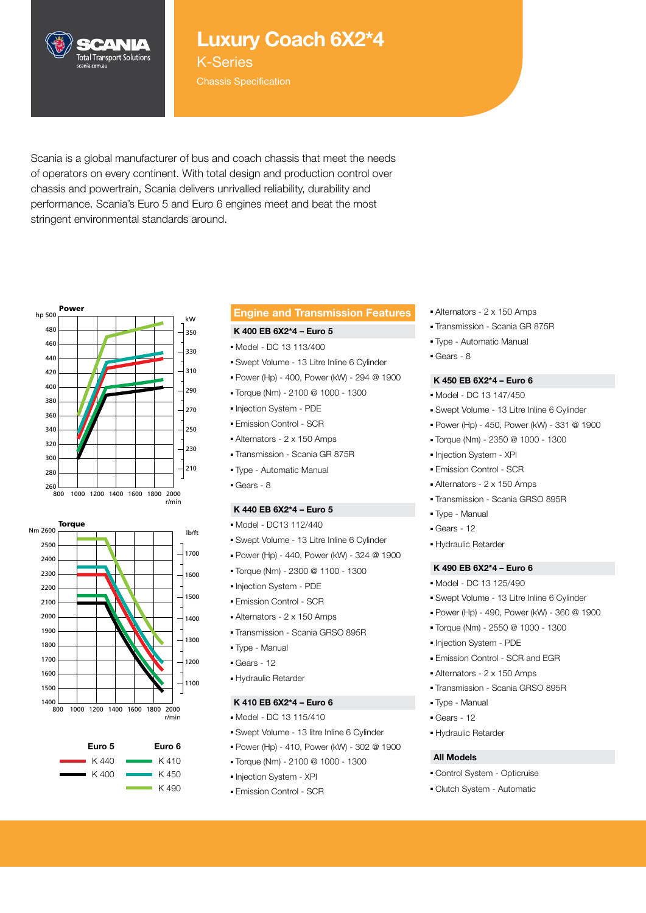

## **Luxury Coach 6X2\*4**

K-Series Chassis Specification

Scania is a global manufacturer of bus and coach chassis that meet the needs of operators on every continent. With total design and production control over chassis and powertrain, Scania delivers unrivalled reliability, durability and performance. Scania's Euro 5 and Euro 6 engines meet and beat the most stringent environmental standards around.







## **Engine and Transmission Features**

#### **K 400 EB 6X2\*4 – Euro 5**

- Model DC 13 113/400
- Swept Volume 13 Litre Inline 6 Cylinder
- Power (Hp) 400, Power (kW) 294 @ 1900
- Torque (Nm) 2100 @ 1000 1300
- Injection System PDE
- Emission Control SCR
- Alternators 2 x 150 Amps
- Transmission Scania GR 875R
- Type Automatic Manual
- Gears 8

#### **K 440 EB 6X2\*4 – Euro 5**

- Model DC13 112/440
- Swept Volume 13 Litre Inline 6 Cylinder
- **Power (Hp) 440, Power (kW) 324 @ 1900**
- Torque (Nm) 2300 @ 1100 1300
- Injection System PDE 420
- Emission Control SCR
- Alternators 2 x 150 Amps
- Transmission Scania GRSO 895R
- Type Manual 340
- Gears 12 320
	- Hydraulic Retarder

#### **K 410 EB 6X2\*4 – Euro 6**

- Model DC 13 115/410
- Swept Volume 13 litre Inline 6 Cylinder
- Power (Hp) 410, Power (kW) 302 @ 1900
- Torque (Nm) 2100 @ 1000 1300
- Injection System XPI
- Emission Control SCR
- Alternators 2 x 150 Amps
- Transmission Scania GR 875R
- Type Automatic Manual
- Gears 8

#### **K 450 EB 6X2\*4 – Euro 6**

- Model DC 13 147/450
- Swept Volume 13 Litre Inline 6 Cylinder
- Power (Hp) 450, Power (kW) 331 @ 1900
- Torque (Nm) 2350 @ 1000 1300
- Injection System XPI
- Emission Control SCR
- Alternators 2 x 150 Amps
- Transmission Scania GRSO 895R
- Type Manual
- Gears 12
- Hydraulic Retarder

#### **K 490 EB 6X2\*4 – Euro 6**

- Model DC 13 125/490
- Swept Volume 13 Litre Inline 6 Cylinder
- Power (Hp) 490, Power (kW) 360 @ 1900
- Torque (Nm) 2550 @ 1000 1300
- Injection System PDE
- Emission Control SCR and EGR
- Alternators 2 x 150 Amps
- Transmission Scania GRSO 895R
- Type Manual
- Gears 12
- Hydraulic Retarder

## **All Models**

- Control System Opticruise
- Clutch System Automatic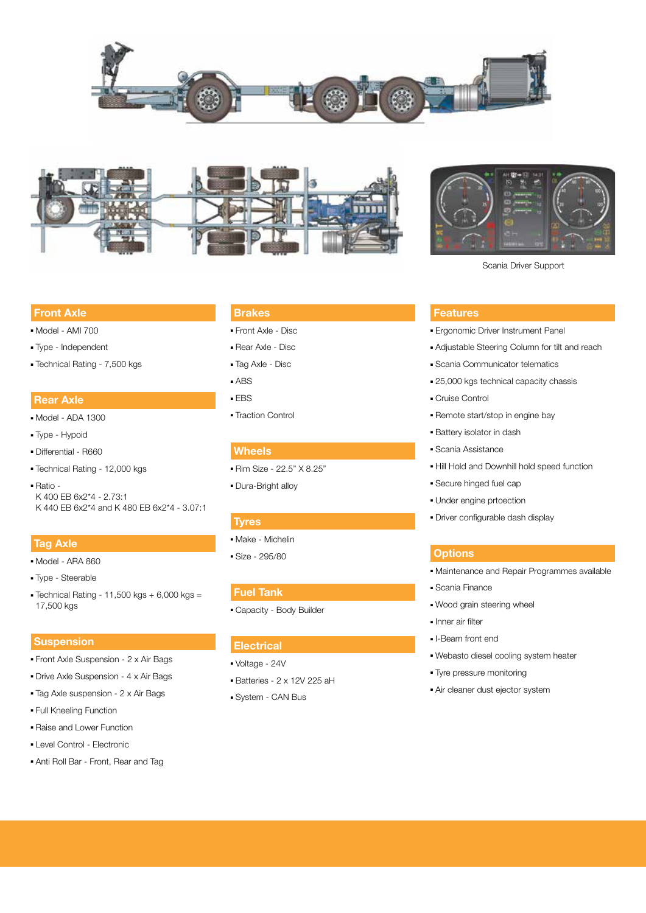





Scania Driver Support

#### **Front Axle**

- Model AMI 700
- Type Independent
- Technical Rating 7,500 kgs

### **Rear Axle**

- Model ADA 1300
- Type Hypoid
- Differential R660
- Technical Rating 12,000 kgs
- Ratio K 400 EB 6x2\*4 - 2.73:1 K 440 EB 6x2\*4 and K 480 EB 6x2\*4 - 3.07:1

#### **Tag Axle**

- Model ARA 860
- Type Steerable
- $\blacktriangleright$  Technical Rating 11,500 kgs + 6,000 kgs = 17,500 kgs

#### **Suspension**

- Front Axle Suspension 2 x Air Bags
- Drive Axle Suspension 4 x Air Bags
- Tag Axle suspension 2 x Air Bags
- Full Kneeling Function
- Raise and Lower Function
- Level Control Electronic
- Anti Roll Bar Front, Rear and Tag

#### **Brakes**

- Front Axle Disc
- Rear Axle Disc
- Tag Axle Disc
- ABS
- EBS
- Traction Control

#### **Wheels**

- Rim Size 22.5" X 8.25"
- Dura-Bright alloy

#### **Tyres**

- Make Michelin
- Size 295/80

#### **Fuel Tank**

■ Capacity - Body Builder

#### **Electrical**

- Voltage 24V
- Batteries 2 x 12V 225 aH
- System CAN Bus

#### **Features**

- 
- Adjustable Steering Column for tilt and reach
- Scania Communicator telematics
- 25,000 kgs technical capacity chassis
- 
- 
- 
- 
- 
- 
- 
- 

#### **Options**

- Maintenance and Repair Programmes available
- Scania Finance
- Wood grain steering wheel
- Inner air filter
- I-Beam front end
- Webasto diesel cooling system heater
- Tyre pressure monitoring
- Air cleaner dust ejector system
- Cruise Control
	- Remote start/stop in engine bay
	- Battery isolator in dash
	- Scania Assistance

#### ■ Hill Hold and Downhill hold speed function

- Secure hinged fuel cap
- Under engine prtoection
- Driver configurable dash display

■ Ergonomic Driver Instrument Panel